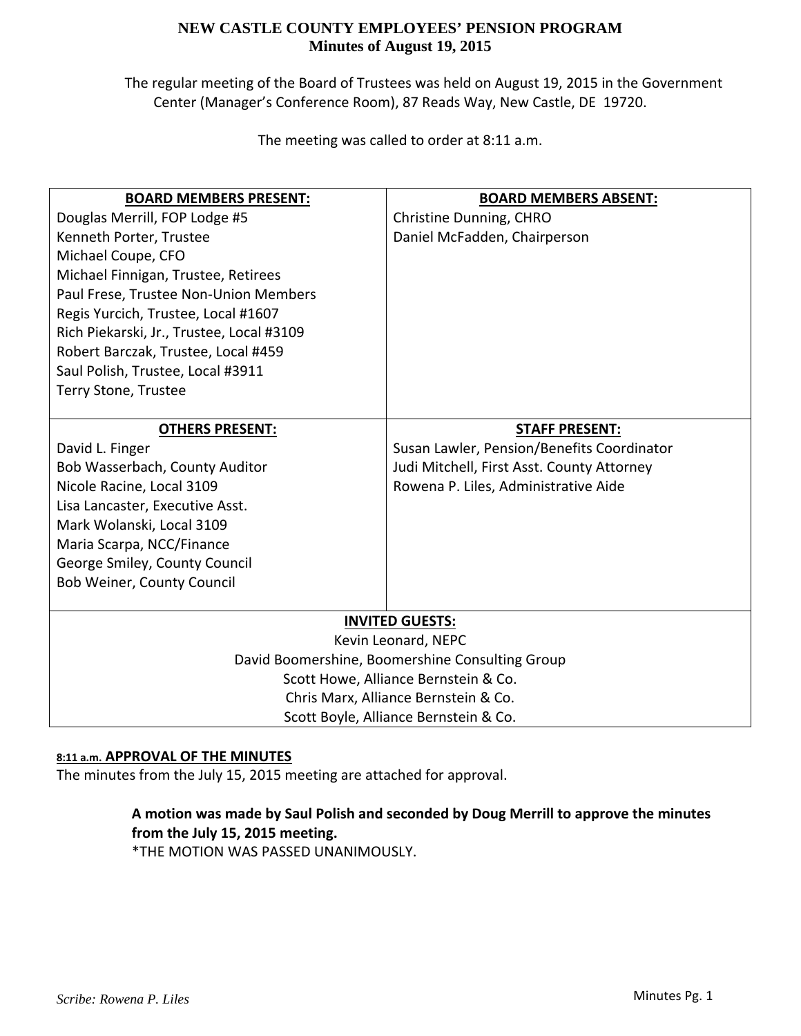The regular meeting of the Board of Trustees was held on August 19, 2015 in the Government Center (Manager's Conference Room), 87 Reads Way, New Castle, DE 19720.

The meeting was called to order at 8:11 a.m.

| <b>BOARD MEMBERS PRESENT:</b>                   | <b>BOARD MEMBERS ABSENT:</b>               |  |
|-------------------------------------------------|--------------------------------------------|--|
| Douglas Merrill, FOP Lodge #5                   | Christine Dunning, CHRO                    |  |
| Kenneth Porter, Trustee                         | Daniel McFadden, Chairperson               |  |
| Michael Coupe, CFO                              |                                            |  |
| Michael Finnigan, Trustee, Retirees             |                                            |  |
| Paul Frese, Trustee Non-Union Members           |                                            |  |
| Regis Yurcich, Trustee, Local #1607             |                                            |  |
| Rich Piekarski, Jr., Trustee, Local #3109       |                                            |  |
| Robert Barczak, Trustee, Local #459             |                                            |  |
| Saul Polish, Trustee, Local #3911               |                                            |  |
| Terry Stone, Trustee                            |                                            |  |
|                                                 |                                            |  |
| <b>OTHERS PRESENT:</b>                          | <b>STAFF PRESENT:</b>                      |  |
| David L. Finger                                 | Susan Lawler, Pension/Benefits Coordinator |  |
| Bob Wasserbach, County Auditor                  | Judi Mitchell, First Asst. County Attorney |  |
| Nicole Racine, Local 3109                       | Rowena P. Liles, Administrative Aide       |  |
| Lisa Lancaster, Executive Asst.                 |                                            |  |
| Mark Wolanski, Local 3109                       |                                            |  |
| Maria Scarpa, NCC/Finance                       |                                            |  |
| George Smiley, County Council                   |                                            |  |
| Bob Weiner, County Council                      |                                            |  |
|                                                 |                                            |  |
| <b>INVITED GUESTS:</b>                          |                                            |  |
| Kevin Leonard, NEPC                             |                                            |  |
| David Boomershine, Boomershine Consulting Group |                                            |  |
| Scott Howe, Alliance Bernstein & Co.            |                                            |  |
| Chris Marx, Alliance Bernstein & Co.            |                                            |  |
|                                                 | Scott Boyle, Alliance Bernstein & Co.      |  |

### **8:11 a.m. APPROVAL OF THE MINUTES**

The minutes from the July 15, 2015 meeting are attached for approval.

# **A motion was made by Saul Polish and seconded by Doug Merrill to approve the minutes from the July 15, 2015 meeting.**

\*THE MOTION WAS PASSED UNANIMOUSLY.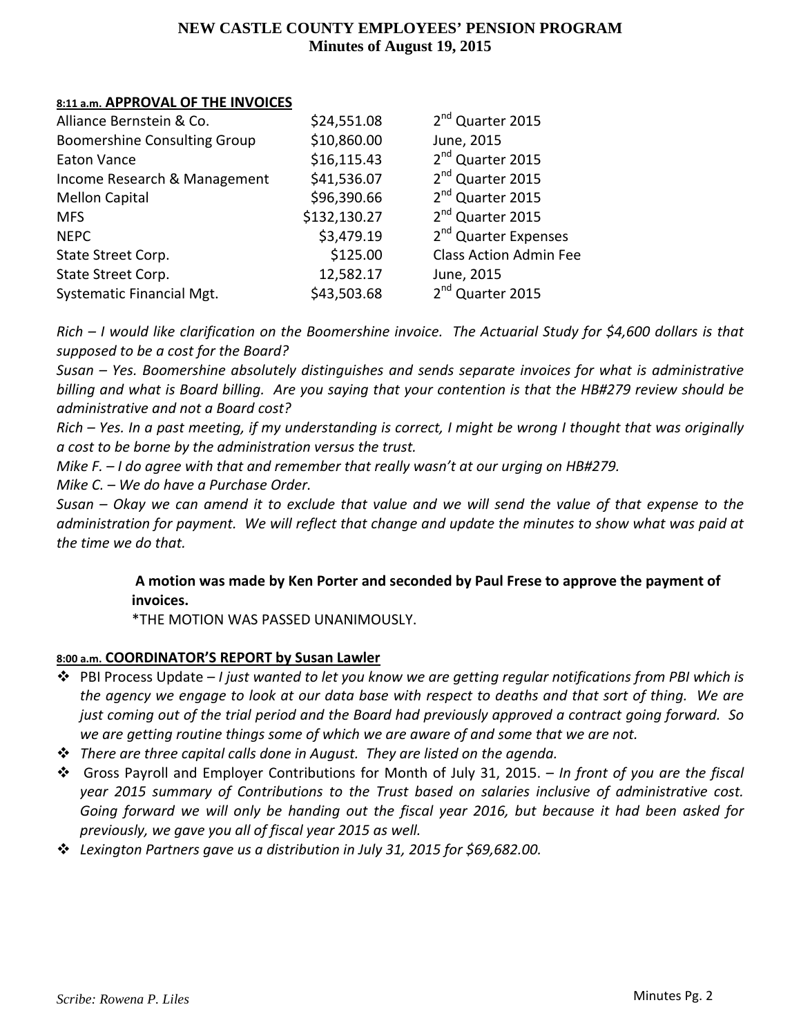### **8:11 a.m. APPROVAL OF THE INVOICES**

| Alliance Bernstein & Co.            | \$24,551.08  | 2 <sup>nd</sup> Quarter 2015     |
|-------------------------------------|--------------|----------------------------------|
| <b>Boomershine Consulting Group</b> | \$10,860.00  | June, 2015                       |
| <b>Eaton Vance</b>                  | \$16,115.43  | 2 <sup>nd</sup> Quarter 2015     |
| Income Research & Management        | \$41,536.07  | 2 <sup>nd</sup> Quarter 2015     |
| <b>Mellon Capital</b>               | \$96,390.66  | 2 <sup>nd</sup> Quarter 2015     |
| <b>MFS</b>                          | \$132,130.27 | 2 <sup>nd</sup> Quarter 2015     |
| <b>NEPC</b>                         | \$3,479.19   | 2 <sup>nd</sup> Quarter Expenses |
| State Street Corp.                  | \$125.00     | <b>Class Action Admin Fee</b>    |
| State Street Corp.                  | 12,582.17    | June, 2015                       |
| Systematic Financial Mgt.           | \$43,503.68  | 2 <sup>nd</sup> Quarter 2015     |

 $Rich - I$  would like clarification on the Boomershine invoice. The Actuarial Study for \$4,600 dollars is that *supposed to be a cost for the Board?*

*Susan – Yes. Boomershine absolutely distinguishes and sends separate invoices for what is administrative* billing and what is Board billing. Are you saying that your contention is that the HB#279 review should be *administrative and not a Board cost?*

Rich - Yes. In a past meeting, if my understanding is correct, I might be wrong I thought that was originally *a cost to be borne by the administration versus the trust.*

*Mike F. – I do agree with that and remember that really wasn't at our urging on HB#279.*

*Mike C. – We do have a Purchase Order.*

Susan – Okay we can amend it to exclude that value and we will send the value of that expense to the administration for payment. We will reflect that change and update the minutes to show what was paid at *the time we do that.*

# **A motion was made by Ken Porter and seconded by Paul Frese to approve the payment of invoices.**

\*THE MOTION WAS PASSED UNANIMOUSLY.

# **8:00 a.m. COORDINATOR'S REPORT by Susan Lawler**

- PBI Process Update *I just wanted to let you know we are getting regular notifications from PBI which is* the agency we engage to look at our data base with respect to deaths and that sort of thing. We are just coming out of the trial period and the Board had previously approved a contract going forward. So *we are getting routine things some of which we are aware of and some that we are not.*
- *There are three capital calls done in August. They are listed on the agenda.*
- Gross Payroll and Employer Contributions for Month of July 31, 2015. *In front of you are the fiscal year 2015 summary of Contributions to the Trust based on salaries inclusive of administrative cost.*  Going forward we will only be handing out the fiscal year 2016, but because it had been asked for *previously, we gave you all of fiscal year 2015 as well.*
- *Lexington Partners gave us a distribution in July 31, 2015 for \$69,682.00.*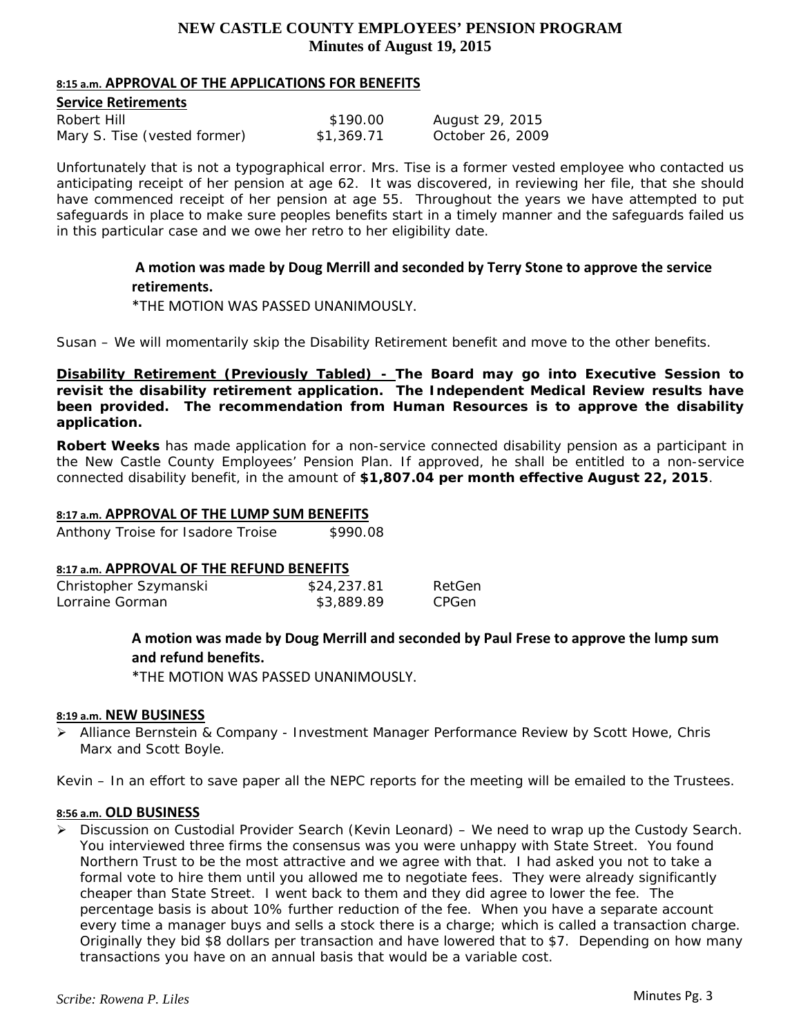#### **8:15 a.m. APPROVAL OF THE APPLICATIONS FOR BENEFITS**

| <b>Service Retirements</b>   |            |                  |  |  |
|------------------------------|------------|------------------|--|--|
| Robert Hill                  | \$190.00   | August 29, 2015  |  |  |
| Mary S. Tise (vested former) | \$1,369.71 | October 26, 2009 |  |  |

*Unfortunately that is not a typographical error. Mrs. Tise is a former vested employee who contacted us anticipating receipt of her pension at age 62. It was discovered, in reviewing her file, that she should have commenced receipt of her pension at age 55. Throughout the years we have attempted to put safeguards in place to make sure peoples benefits start in a timely manner and the safeguards failed us in this particular case and we owe her retro to her eligibility date.* 

> **A motion was made by Doug Merrill and seconded by Terry Stone to approve the service retirements.**

\*THE MOTION WAS PASSED UNANIMOUSLY.

*Susan – We will momentarily skip the Disability Retirement benefit and move to the other benefits.* 

**Disability Retirement (Previously Tabled) - The Board may go into Executive Session to revisit the disability retirement application. The Independent Medical Review results have been provided. The recommendation from Human Resources is to approve the disability application.** 

**Robert Weeks** has made application for a non-service connected disability pension as a participant in the New Castle County Employees' Pension Plan. If approved, he shall be entitled to a non-service connected disability benefit, in the amount of **\$1,807.04 per month effective August 22, 2015**.

#### **8:17 a.m. APPROVAL OF THE LUMP SUM BENEFITS**

Anthony Troise for Isadore Troise \$990.08

#### **8:17 a.m. APPROVAL OF THE REFUND BENEFITS**

| Christopher Szymanski | \$24,237.81 | RetGen |
|-----------------------|-------------|--------|
| Lorraine Gorman       | \$3,889.89  | CPGen  |

**A motion was made by Doug Merrill and seconded by Paul Frese to approve the lump sum and refund benefits.**

\*THE MOTION WAS PASSED UNANIMOUSLY.

### **8:19 a.m. NEW BUSINESS**

 Alliance Bernstein & Company - *Investment Manager Performance Review by Scott Howe, Chris Marx and Scott Boyle.* 

*Kevin – In an effort to save paper all the NEPC reports for the meeting will be emailed to the Trustees.* 

#### **8:56 a.m. OLD BUSINESS**

 $\triangleright$  Discussion on Custodial Provider Search (Kevin Leonard) – We need to wrap up the Custody Search. You interviewed three firms the consensus was you were unhappy with State Street. You found Northern Trust to be the most attractive and we agree with that. I had asked you not to take a formal vote to hire them until you allowed me to negotiate fees. They were already significantly cheaper than State Street. I went back to them and they did agree to lower the fee. The percentage basis is about 10% further reduction of the fee. When you have a separate account every time a manager buys and sells a stock there is a charge; which is called a transaction charge. Originally they bid \$8 dollars per transaction and have lowered that to \$7. Depending on how many transactions you have on an annual basis that would be a variable cost.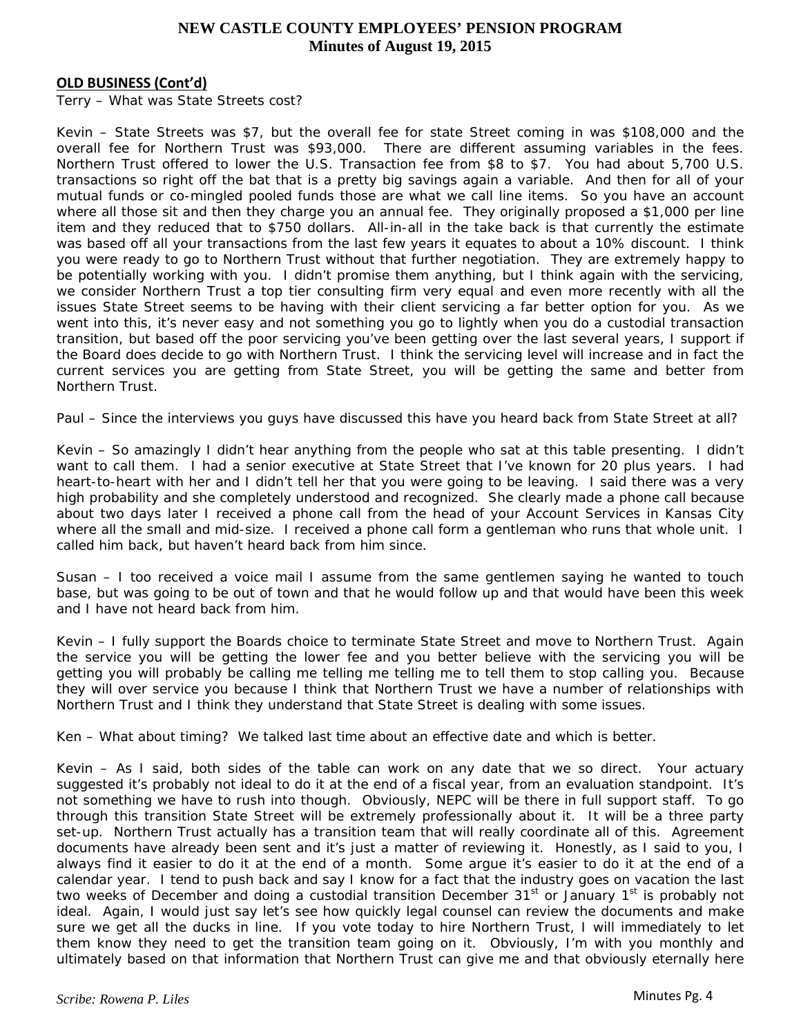#### **OLD BUSINESS (Cont'd)**

*Terry – What was State Streets cost?* 

*Kevin – State Streets was \$7, but the overall fee for state Street coming in was \$108,000 and the overall fee for Northern Trust was \$93,000. There are different assuming variables in the fees. Northern Trust offered to lower the U.S. Transaction fee from \$8 to \$7. You had about 5,700 U.S. transactions so right off the bat that is a pretty big savings again a variable. And then for all of your mutual funds or co-mingled pooled funds those are what we call line items. So you have an account where all those sit and then they charge you an annual fee. They originally proposed a \$1,000 per line item and they reduced that to \$750 dollars. All-in-all in the take back is that currently the estimate was based off all your transactions from the last few years it equates to about a 10% discount. I think you were ready to go to Northern Trust without that further negotiation. They are extremely happy to be potentially working with you. I didn't promise them anything, but I think again with the servicing, we consider Northern Trust a top tier consulting firm very equal and even more recently with all the issues State Street seems to be having with their client servicing a far better option for you. As we went into this, it's never easy and not something you go to lightly when you do a custodial transaction transition, but based off the poor servicing you've been getting over the last several years, I support if the Board does decide to go with Northern Trust. I think the servicing level will increase and in fact the current services you are getting from State Street, you will be getting the same and better from Northern Trust.* 

*Paul – Since the interviews you guys have discussed this have you heard back from State Street at all?* 

*Kevin – So amazingly I didn't hear anything from the people who sat at this table presenting. I didn't want to call them. I had a senior executive at State Street that I've known for 20 plus years. I had heart-to-heart with her and I didn't tell her that you were going to be leaving. I said there was a very high probability and she completely understood and recognized. She clearly made a phone call because about two days later I received a phone call from the head of your Account Services in Kansas City where all the small and mid-size. I received a phone call form a gentleman who runs that whole unit. I called him back, but haven't heard back from him since.* 

*Susan – I too received a voice mail I assume from the same gentlemen saying he wanted to touch base, but was going to be out of town and that he would follow up and that would have been this week and I have not heard back from him.* 

*Kevin – I fully support the Boards choice to terminate State Street and move to Northern Trust. Again the service you will be getting the lower fee and you better believe with the servicing you will be getting you will probably be calling me telling me telling me to tell them to stop calling you. Because they will over service you because I think that Northern Trust we have a number of relationships with Northern Trust and I think they understand that State Street is dealing with some issues.* 

*Ken – What about timing? We talked last time about an effective date and which is better.* 

*Kevin – As I said, both sides of the table can work on any date that we so direct. Your actuary suggested it's probably not ideal to do it at the end of a fiscal year, from an evaluation standpoint. It's not something we have to rush into though. Obviously, NEPC will be there in full support staff. To go through this transition State Street will be extremely professionally about it. It will be a three party set-up. Northern Trust actually has a transition team that will really coordinate all of this. Agreement documents have already been sent and it's just a matter of reviewing it. Honestly, as I said to you, I always find it easier to do it at the end of a month. Some argue it's easier to do it at the end of a calendar year. I tend to push back and say I know for a fact that the industry goes on vacation the last two weeks of December and doing a custodial transition December 31st or January 1st is probably not ideal. Again, I would just say let's see how quickly legal counsel can review the documents and make sure we get all the ducks in line. If you vote today to hire Northern Trust, I will immediately to let them know they need to get the transition team going on it. Obviously, I'm with you monthly and ultimately based on that information that Northern Trust can give me and that obviously eternally here*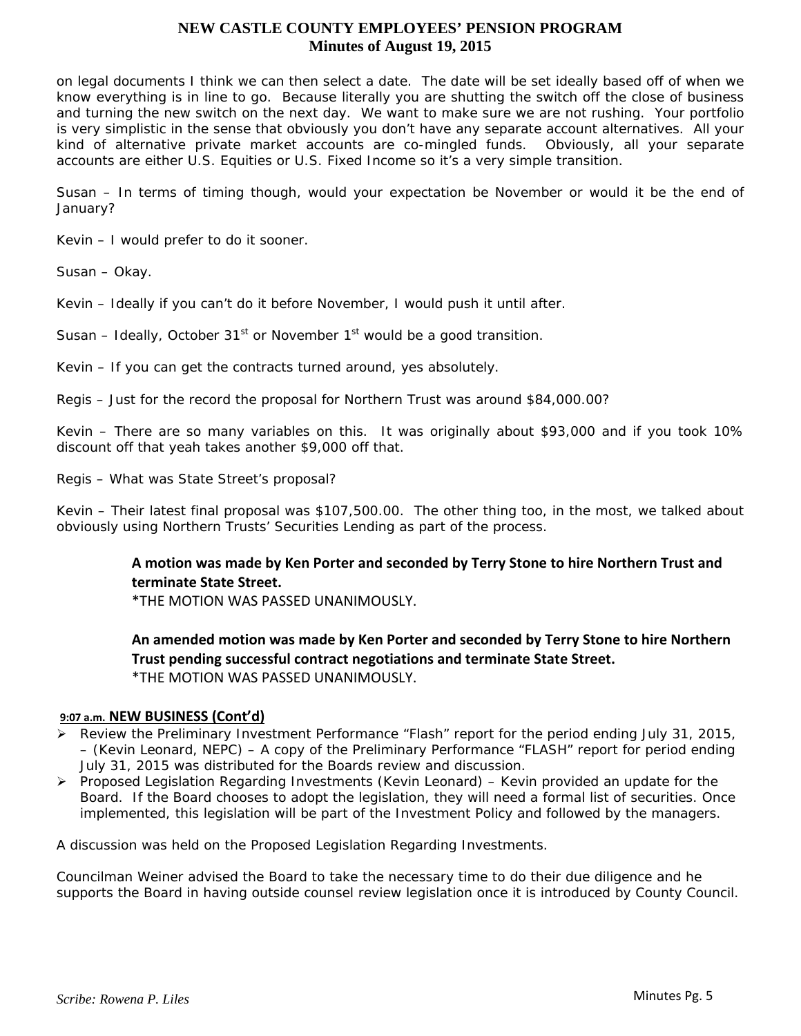*on legal documents I think we can then select a date. The date will be set ideally based off of when we know everything is in line to go. Because literally you are shutting the switch off the close of business and turning the new switch on the next day. We want to make sure we are not rushing. Your portfolio is very simplistic in the sense that obviously you don't have any separate account alternatives. All your kind of alternative private market accounts are co-mingled funds. Obviously, all your separate accounts are either U.S. Equities or U.S. Fixed Income so it's a very simple transition.* 

*Susan – In terms of timing though, would your expectation be November or would it be the end of January?* 

*Kevin – I would prefer to do it sooner.* 

*Susan – Okay.* 

*Kevin – Ideally if you can't do it before November, I would push it until after.* 

*Susan – Ideally, October 31st or November 1st would be a good transition.* 

*Kevin – If you can get the contracts turned around, yes absolutely.* 

*Regis – Just for the record the proposal for Northern Trust was around \$84,000.00?* 

*Kevin – There are so many variables on this. It was originally about \$93,000 and if you took 10% discount off that yeah takes another \$9,000 off that.* 

*Regis – What was State Street's proposal?* 

*Kevin – Their latest final proposal was \$107,500.00. The other thing too, in the most, we talked about obviously using Northern Trusts' Securities Lending as part of the process.* 

# **A motion was made by Ken Porter and seconded by Terry Stone to hire Northern Trust and terminate State Street.**

\*THE MOTION WAS PASSED UNANIMOUSLY.

**An amended motion was made by Ken Porter and seconded by Terry Stone to hire Northern Trust pending successful contract negotiations and terminate State Street.** \*THE MOTION WAS PASSED UNANIMOUSLY.

### **9:07 a.m. NEW BUSINESS (Cont'd)**

- Review the Preliminary Investment Performance "Flash" report for the period ending July 31, 2015, – (Kevin Leonard, NEPC) – *A copy of the Preliminary Performance "FLASH" report for period ending July 31, 2015 was distributed for the Boards review and discussion.*
- Proposed Legislation Regarding Investments (Kevin Leonard) *Kevin provided an update for the Board. If the Board chooses to adopt the legislation, they will need a formal list of securities. Once implemented, this legislation will be part of the Investment Policy and followed by the managers.*

*A discussion was held on the Proposed Legislation Regarding Investments.* 

*Councilman Weiner advised the Board to take the necessary time to do their due diligence and he supports the Board in having outside counsel review legislation once it is introduced by County Council.*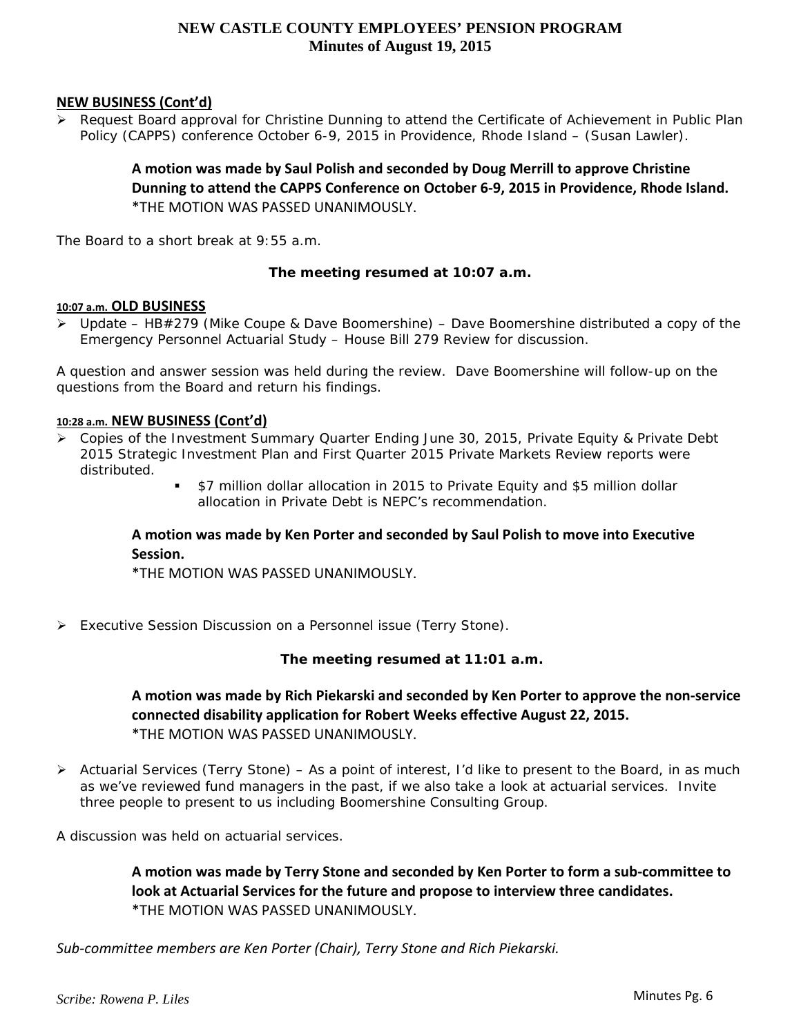### **NEW BUSINESS (Cont'd)**

 $\triangleright$  Request Board approval for Christine Dunning to attend the Certificate of Achievement in Public Plan Policy (CAPPS) conference October 6-9, 2015 in Providence, Rhode Island – (Susan Lawler).

> **A motion was made by Saul Polish and seconded by Doug Merrill to approve Christine Dunning to attend the CAPPS Conference on October 6‐9, 2015 in Providence, Rhode Island.** \*THE MOTION WAS PASSED UNANIMOUSLY.

*The Board to a short break at 9:55 a.m.* 

### **The meeting resumed at 10:07 a.m.**

#### **10:07 a.m. OLD BUSINESS**

 Update – HB#279 (Mike Coupe & Dave Boomershine) – *Dave Boomershine distributed a copy of the Emergency Personnel Actuarial Study – House Bill 279 Review for discussion.* 

*A question and answer session was held during the review. Dave Boomershine will follow-up on the questions from the Board and return his findings.* 

#### **10:28 a.m. NEW BUSINESS (Cont'd)**

- *Copies of the Investment Summary Quarter Ending June 30, 2015, Private Equity & Private Debt 2015 Strategic Investment Plan and First Quarter 2015 Private Markets Review reports were distributed.*
	- *\$7 million dollar allocation in 2015 to Private Equity and \$5 million dollar allocation in Private Debt is NEPC's recommendation.*

### **A motion was made by Ken Porter and seconded by Saul Polish to move into Executive Session.**

\*THE MOTION WAS PASSED UNANIMOUSLY.

Executive Session Discussion on a Personnel issue (Terry Stone).

**The meeting resumed at 11:01 a.m.** 

**A motion was made by Rich Piekarski and seconded by Ken Porter to approve the non‐service connected disability application for Robert Weeks effective August 22, 2015.** \*THE MOTION WAS PASSED UNANIMOUSLY.

 Actuarial Services (Terry Stone) – *As a point of interest, I'd like to present to the Board, in as much as we've reviewed fund managers in the past, if we also take a look at actuarial services. Invite three people to present to us including Boomershine Consulting Group.*

*A discussion was held on actuarial services.* 

**A motion was made by Terry Stone and seconded by Ken Porter to form a sub‐committee to look at Actuarial Services for the future and propose to interview three candidates.** \*THE MOTION WAS PASSED UNANIMOUSLY.

*Sub‐committee members are Ken Porter (Chair), Terry Stone and Rich Piekarski.*